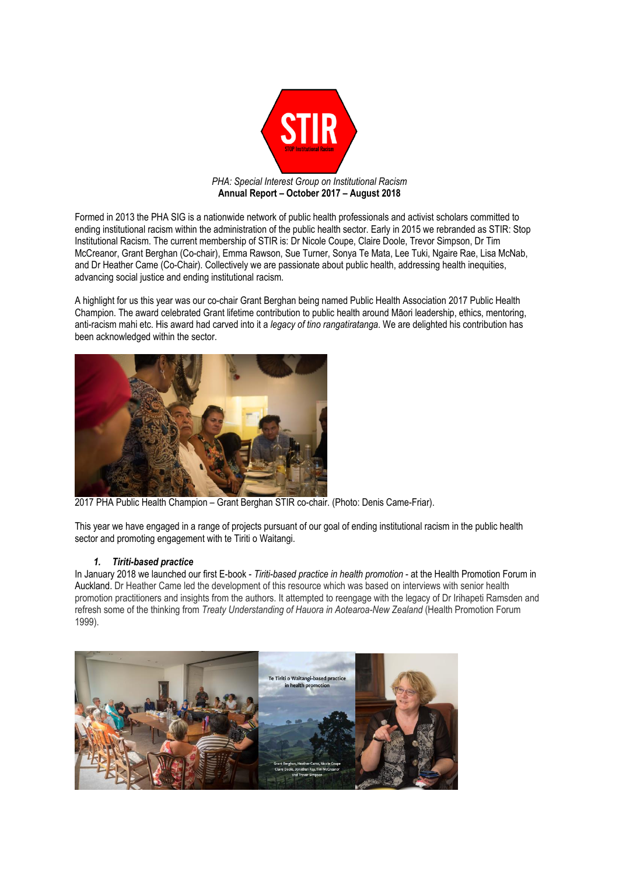

Formed in 2013 the PHA SIG is a nationwide network of public health professionals and activist scholars committed to ending institutional racism within the administration of the public health sector. Early in 2015 we rebranded as STIR: Stop Institutional Racism. The current membership of STIR is: Dr Nicole Coupe, Claire Doole, Trevor Simpson, Dr Tim McCreanor, Grant Berghan (Co-chair), Emma Rawson, Sue Turner, Sonya Te Mata, Lee Tuki, Ngaire Rae, Lisa McNab, and Dr Heather Came (Co-Chair). Collectively we are passionate about public health, addressing health inequities, advancing social justice and ending institutional racism.

A highlight for us this year was our co-chair Grant Berghan being named Public Health Association 2017 Public Health Champion. The award celebrated Grant lifetime contribution to public health around Māori leadership, ethics, mentoring, anti-racism mahi etc. His award had carved into it a *legacy of tino rangatiratanga*. We are delighted his contribution has been acknowledged within the sector.



2017 PHA Public Health Champion – Grant Berghan STIR co-chair. (Photo: Denis Came-Friar).

This year we have engaged in a range of projects pursuant of our goal of ending institutional racism in the public health sector and promoting engagement with te Tiriti o Waitangi.

# *1. Tiriti-based practice*

In January 2018 we launched our first E-book - *Tiriti-based practice in health promotion* - at the Health Promotion Forum in Auckland. Dr Heather Came led the development of this resource which was based on interviews with senior health promotion practitioners and insights from the authors. It attempted to reengage with the legacy of Dr Irihapeti Ramsden and refresh some of the thinking from *Treaty Understanding of Hauora in Aotearoa-New Zealand* (Health Promotion Forum 1999).

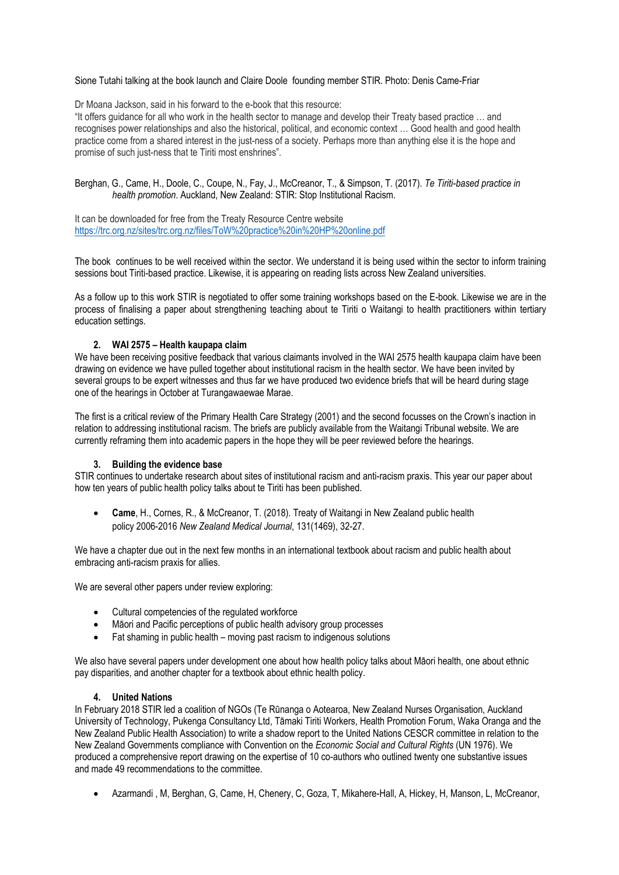Sione Tutahi talking at the book launch and Claire Doole founding member STIR. Photo: Denis Came-Friar

Dr Moana Jackson, said in his forward to the e-book that this resource:

"It offers guidance for all who work in the health sector to manage and develop their Treaty based practice … and recognises power relationships and also the historical, political, and economic context ... Good health and good health practice come from a shared interest in the just-ness of a society. Perhaps more than anything else it is the hope and promise of such just-ness that te Tiriti most enshrines".

Berghan, G., Came, H., Doole, C., Coupe, N., Fay, J., McCreanor, T., & Simpson, T. (2017). *Te Tiriti-based practice in health promotion*. Auckland, New Zealand: STIR: Stop Institutional Racism.

It can be downloaded for free from the Treaty Resource Centre website <https://trc.org.nz/sites/trc.org.nz/files/ToW%20practice%20in%20HP%20online.pdf>

The book continues to be well received within the sector. We understand it is being used within the sector to inform training sessions bout Tiriti-based practice. Likewise, it is appearing on reading lists across New Zealand universities.

As a follow up to this work STIR is negotiated to offer some training workshops based on the E-book. Likewise we are in the process of finalising a paper about strengthening teaching about te Tiriti o Waitangi to health practitioners within tertiary education settings.

## **2. WAI 2575 – Health kaupapa claim**

We have been receiving positive feedback that various claimants involved in the WAI 2575 health kaupapa claim have been drawing on evidence we have pulled together about institutional racism in the health sector. We have been invited by several groups to be expert witnesses and thus far we have produced two evidence briefs that will be heard during stage one of the hearings in October at Turangawaewae Marae.

The first is a critical review of the Primary Health Care Strategy (2001) and the second focusses on the Crown's inaction in relation to addressing institutional racism. The briefs are publicly available from the Waitangi Tribunal website. We are currently reframing them into academic papers in the hope they will be peer reviewed before the hearings.

### **3. Building the evidence base**

STIR continues to undertake research about sites of institutional racism and anti-racism praxis. This year our paper about how ten years of public health policy talks about te Tiriti has been published.

• **Came**, H., Cornes, R., & McCreanor, T. (2018). Treaty of Waitangi in New Zealand public health policy 2006-2016 *New Zealand Medical Journal*, 131(1469), 32-27.

We have a chapter due out in the next few months in an international textbook about racism and public health about embracing anti-racism praxis for allies.

We are several other papers under review exploring:

- Cultural competencies of the regulated workforce
- Māori and Pacific perceptions of public health advisory group processes
- Fat shaming in public health moving past racism to indigenous solutions

We also have several papers under development one about how health policy talks about Māori health, one about ethnic pay disparities, and another chapter for a textbook about ethnic health policy.

### **4. United Nations**

In February 2018 STIR led a coalition of NGOs (Te Rūnanga o Aotearoa, New Zealand Nurses Organisation, Auckland University of Technology, Pukenga Consultancy Ltd, Tāmaki Tiriti Workers, Health Promotion Forum, Waka Oranga and the New Zealand Public Health Association) to write a shadow report to the United Nations CESCR committee in relation to the New Zealand Governments compliance with Convention on the *Economic Social and Cultural Rights* (UN 1976). We produced a comprehensive report drawing on the expertise of 10 co-authors who outlined twenty one substantive issues and made 49 recommendations to the committee.

• Azarmandi , M, Berghan, G, Came, H, Chenery, C, Goza, T, Mikahere-Hall, A, Hickey, H, Manson, L, McCreanor,